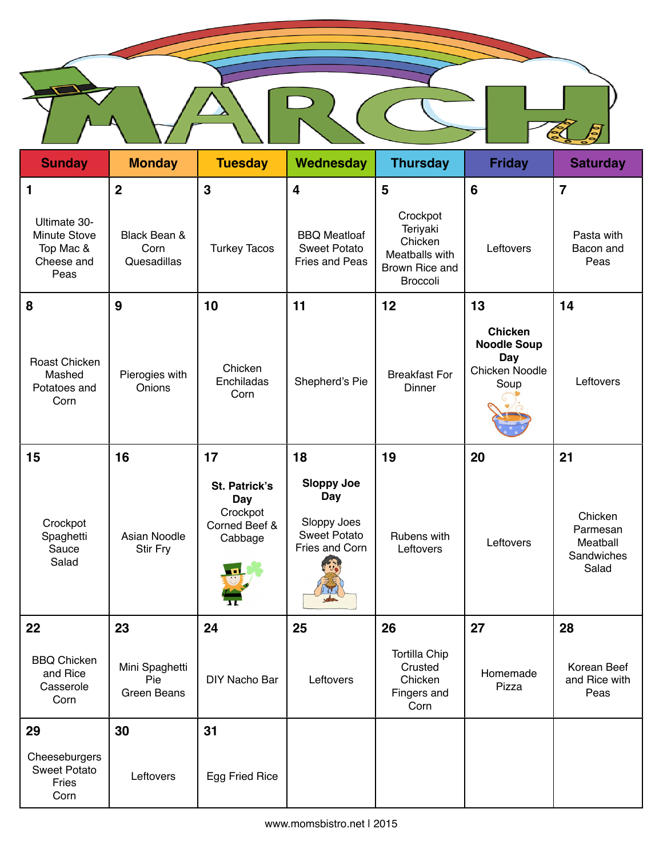| <b>Sunday</b>                                                   | <b>Monday</b>                               | <b>Tuesday</b>                                                      | Wednesday                                                                        | <b>Thursday</b>                                                                        | <b>Friday</b>                                                         | <b>Saturday</b>                                        |
|-----------------------------------------------------------------|---------------------------------------------|---------------------------------------------------------------------|----------------------------------------------------------------------------------|----------------------------------------------------------------------------------------|-----------------------------------------------------------------------|--------------------------------------------------------|
| 1                                                               | $\overline{2}$                              | $\mathbf{3}$                                                        | $\overline{\mathbf{4}}$                                                          | 5                                                                                      | 6                                                                     | $\overline{7}$                                         |
| Ultimate 30-<br>Minute Stove<br>Top Mac &<br>Cheese and<br>Peas | Black Bean &<br>Corn<br>Quesadillas         | <b>Turkey Tacos</b>                                                 | <b>BBQ Meatloaf</b><br><b>Sweet Potato</b><br><b>Fries and Peas</b>              | Crockpot<br>Teriyaki<br>Chicken<br>Meatballs with<br>Brown Rice and<br><b>Broccoli</b> | Leftovers                                                             | Pasta with<br>Bacon and<br>Peas                        |
| 8                                                               | 9                                           | 10                                                                  | 11                                                                               | 12                                                                                     | 13                                                                    | 14                                                     |
| Roast Chicken<br>Mashed<br>Potatoes and<br>Corn                 | Pierogies with<br>Onions                    | Chicken<br>Enchiladas<br>Corn                                       | Shepherd's Pie                                                                   | <b>Breakfast For</b><br>Dinner                                                         | <b>Chicken</b><br><b>Noodle Soup</b><br>Day<br>Chicken Noodle<br>Soup | Leftovers                                              |
| 15                                                              | 16                                          | 17                                                                  | 18                                                                               | 19                                                                                     | 20                                                                    | 21                                                     |
| Crockpot<br>Spaghetti<br>Sauce<br>Salad                         | Asian Noodle<br><b>Stir Fry</b>             | St. Patrick's<br><b>Day</b><br>Crockpot<br>Corned Beef &<br>Cabbage | <b>Sloppy Joe</b><br>Day<br>Sloppy Joes<br><b>Sweet Potato</b><br>Fries and Corn | Rubens with<br>Leftovers                                                               | Leftovers                                                             | Chicken<br>Parmesan<br>Meatball<br>Sandwiches<br>Salad |
| 22                                                              | 23                                          | 24                                                                  | 25                                                                               | 26                                                                                     | 27                                                                    | 28                                                     |
| <b>BBQ Chicken</b><br>and Rice<br>Casserole<br>Corn             | Mini Spaghetti<br>Pie<br><b>Green Beans</b> | DIY Nacho Bar                                                       | Leftovers                                                                        | <b>Tortilla Chip</b><br>Crusted<br>Chicken<br>Fingers and<br>Corn                      | Homemade<br>Pizza                                                     | Korean Beef<br>and Rice with<br>Peas                   |
| 29                                                              | 30                                          | 31                                                                  |                                                                                  |                                                                                        |                                                                       |                                                        |
| Cheeseburgers<br><b>Sweet Potato</b><br>Fries<br>Corn           | Leftovers                                   | Egg Fried Rice                                                      |                                                                                  |                                                                                        |                                                                       |                                                        |